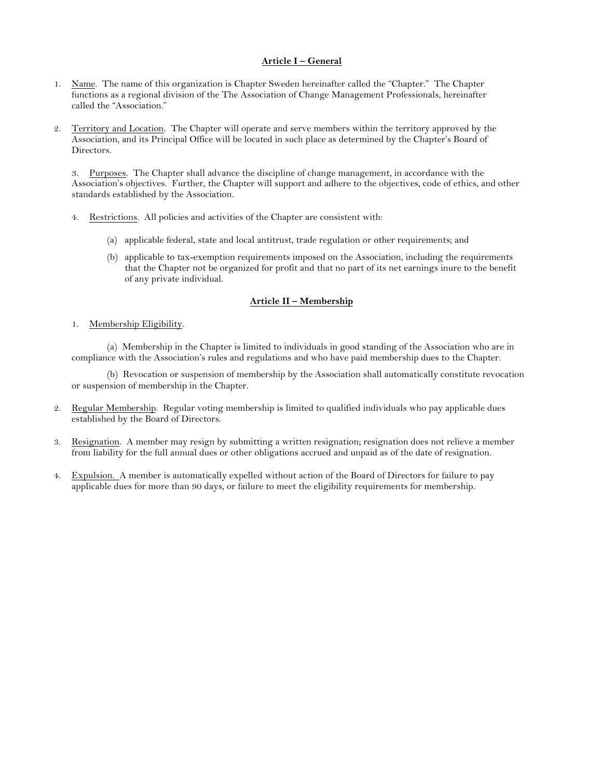### **Article I – General**

- 1. Name. The name of this organization is Chapter Sweden hereinafter called the "Chapter." The Chapter functions as a regional division of the The Association of Change Management Professionals, hereinafter called the "Association."
- 2. Territory and Location. The Chapter will operate and serve members within the territory approved by the Association, and its Principal Office will be located in such place as determined by the Chapter's Board of Directors.

3. Purposes. The Chapter shall advance the discipline of change management, in accordance with the Association's objectives. Further, the Chapter will support and adhere to the objectives, code of ethics, and other standards established by the Association.

- 4. Restrictions. All policies and activities of the Chapter are consistent with:
	- (a) applicable federal, state and local antitrust, trade regulation or other requirements; and
	- (b) applicable to tax-exemption requirements imposed on the Association, including the requirements that the Chapter not be organized for profit and that no part of its net earnings inure to the benefit of any private individual.

# **Article II – Membership**

1. Membership Eligibility.

(a) Membership in the Chapter is limited to individuals in good standing of the Association who are in compliance with the Association's rules and regulations and who have paid membership dues to the Chapter.

(b) Revocation or suspension of membership by the Association shall automatically constitute revocation or suspension of membership in the Chapter.

- 2. Regular Membership. Regular voting membership is limited to qualified individuals who pay applicable dues established by the Board of Directors.
- 3. Resignation. A member may resign by submitting a written resignation; resignation does not relieve a member from liability for the full annual dues or other obligations accrued and unpaid as of the date of resignation.
- 4. Expulsion. A member is automatically expelled without action of the Board of Directors for failure to pay applicable dues for more than 90 days, or failure to meet the eligibility requirements for membership.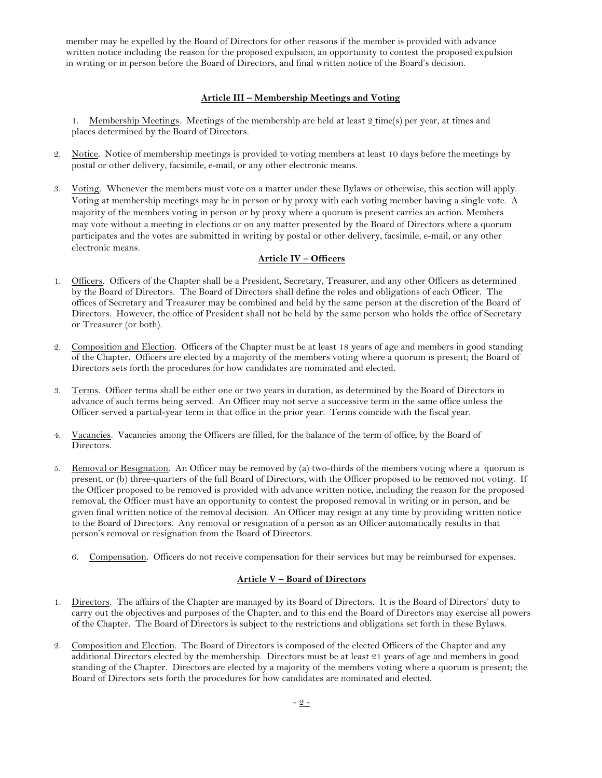member may be expelled by the Board of Directors for other reasons if the member is provided with advance written notice including the reason for the proposed expulsion, an opportunity to contest the proposed expulsion in writing or in person before the Board of Directors, and final written notice of the Board's decision.

### **Article III – Membership Meetings and Voting**

1. Membership Meetings. Meetings of the membership are held at least  $2 \times 2$  time(s) per year, at times and places determined by the Board of Directors.

- 2. Notice. Notice of membership meetings is provided to voting members at least 10 days before the meetings by postal or other delivery, facsimile, e-mail, or any other electronic means.
- 3. Voting. Whenever the members must vote on a matter under these Bylaws or otherwise, this section will apply. Voting at membership meetings may be in person or by proxy with each voting member having a single vote. A majority of the members voting in person or by proxy where a quorum is present carries an action. Members may vote without a meeting in elections or on any matter presented by the Board of Directors where a quorum participates and the votes are submitted in writing by postal or other delivery, facsimile, e-mail, or any other electronic means.

# **Article IV – Officers**

- 1. Officers. Officers of the Chapter shall be a President, Secretary, Treasurer, and any other Officers as determined by the Board of Directors. The Board of Directors shall define the roles and obligations of each Officer. The offices of Secretary and Treasurer may be combined and held by the same person at the discretion of the Board of Directors. However, the office of President shall not be held by the same person who holds the office of Secretary or Treasurer (or both).
- 2. Composition and Election. Officers of the Chapter must be at least 18 years of age and members in good standing of the Chapter. Officers are elected by a majority of the members voting where a quorum is present; the Board of Directors sets forth the procedures for how candidates are nominated and elected.
- 3. Terms. Officer terms shall be either one or two years in duration, as determined by the Board of Directors in advance of such terms being served. An Officer may not serve a successive term in the same office unless the Officer served a partial-year term in that office in the prior year. Terms coincide with the fiscal year.
- 4. Vacancies. Vacancies among the Officers are filled, for the balance of the term of office, by the Board of Directors.
- 5. Removal or Resignation. An Officer may be removed by (a) two-thirds of the members voting where a quorum is present, or (b) three-quarters of the full Board of Directors, with the Officer proposed to be removed not voting. If the Officer proposed to be removed is provided with advance written notice, including the reason for the proposed removal, the Officer must have an opportunity to contest the proposed removal in writing or in person, and be given final written notice of the removal decision. An Officer may resign at any time by providing written notice to the Board of Directors. Any removal or resignation of a person as an Officer automatically results in that person's removal or resignation from the Board of Directors.
	- 6. Compensation. Officers do not receive compensation for their services but may be reimbursed for expenses.

## **Article V – Board of Directors**

- 1. Directors. The affairs of the Chapter are managed by its Board of Directors. It is the Board of Directors' duty to carry out the objectives and purposes of the Chapter, and to this end the Board of Directors may exercise all powers of the Chapter. The Board of Directors is subject to the restrictions and obligations set forth in these Bylaws.
- 2. Composition and Election. The Board of Directors is composed of the elected Officers of the Chapter and any additional Directors elected by the membership. Directors must be at least 21 years of age and members in good standing of the Chapter. Directors are elected by a majority of the members voting where a quorum is present; the Board of Directors sets forth the procedures for how candidates are nominated and elected.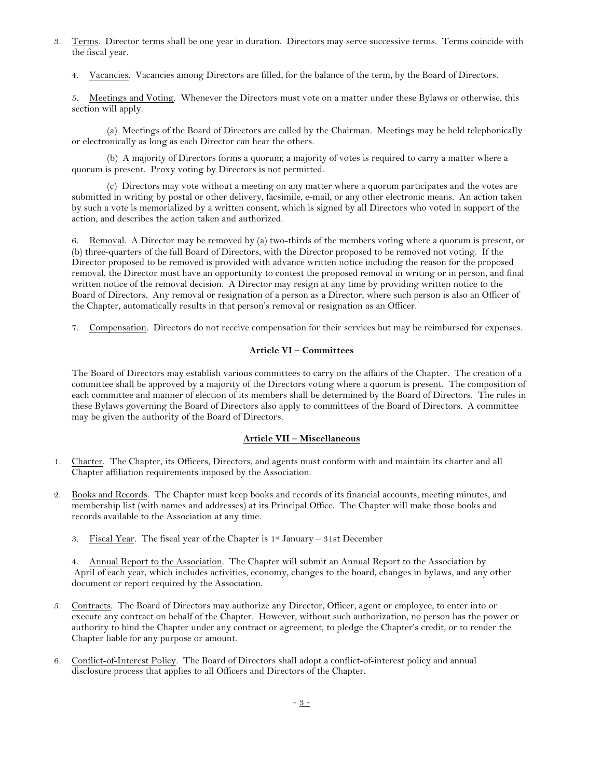- 3. Terms. Director terms shall be one year in duration. Directors may serve successive terms. Terms coincide with the fiscal year.
	- 4. Vacancies. Vacancies among Directors are filled, for the balance of the term, by the Board of Directors.

5. Meetings and Voting. Whenever the Directors must vote on a matter under these Bylaws or otherwise, this section will apply.

(a) Meetings of the Board of Directors are called by the Chairman. Meetings may be held telephonically or electronically as long as each Director can hear the others.

(b) A majority of Directors forms a quorum; a majority of votes is required to carry a matter where a quorum is present. Proxy voting by Directors is not permitted.

(c) Directors may vote without a meeting on any matter where a quorum participates and the votes are submitted in writing by postal or other delivery, facsimile, e-mail, or any other electronic means. An action taken by such a vote is memorialized by a written consent, which is signed by all Directors who voted in support of the action, and describes the action taken and authorized.

Removal. A Director may be removed by (a) two-thirds of the members voting where a quorum is present, or (b) three-quarters of the full Board of Directors, with the Director proposed to be removed not voting. If the Director proposed to be removed is provided with advance written notice including the reason for the proposed removal, the Director must have an opportunity to contest the proposed removal in writing or in person, and final written notice of the removal decision. A Director may resign at any time by providing written notice to the Board of Directors. Any removal or resignation of a person as a Director, where such person is also an Officer of the Chapter, automatically results in that person's removal or resignation as an Officer.

7. Compensation. Directors do not receive compensation for their services but may be reimbursed for expenses.

## **Article VI – Committees**

The Board of Directors may establish various committees to carry on the affairs of the Chapter. The creation of a committee shall be approved by a majority of the Directors voting where a quorum is present. The composition of each committee and manner of election of its members shall be determined by the Board of Directors. The rules in these Bylaws governing the Board of Directors also apply to committees of the Board of Directors. A committee may be given the authority of the Board of Directors.

#### **Article VII – Miscellaneous**

- 1. Charter. The Chapter, its Officers, Directors, and agents must conform with and maintain its charter and all Chapter affiliation requirements imposed by the Association.
- 2. Books and Records. The Chapter must keep books and records of its financial accounts, meeting minutes, and membership list (with names and addresses) at its Principal Office. The Chapter will make those books and records available to the Association at any time.
	- 3. Fiscal Year. The fiscal year of the Chapter is  $1^{st}$  January 31st December

4. Annual Report to the Association. The Chapter will submit an Annual Report to the Association by April of each year, which includes activities, economy, changes to the board, changes in bylaws, and any other document or report required by the Association.

- 5. Contracts. The Board of Directors may authorize any Director, Officer, agent or employee, to enter into or execute any contract on behalf of the Chapter. However, without such authorization, no person has the power or authority to bind the Chapter under any contract or agreement, to pledge the Chapter's credit, or to render the Chapter liable for any purpose or amount.
- 6. Conflict-of-Interest Policy. The Board of Directors shall adopt a conflict-of-interest policy and annual disclosure process that applies to all Officers and Directors of the Chapter.